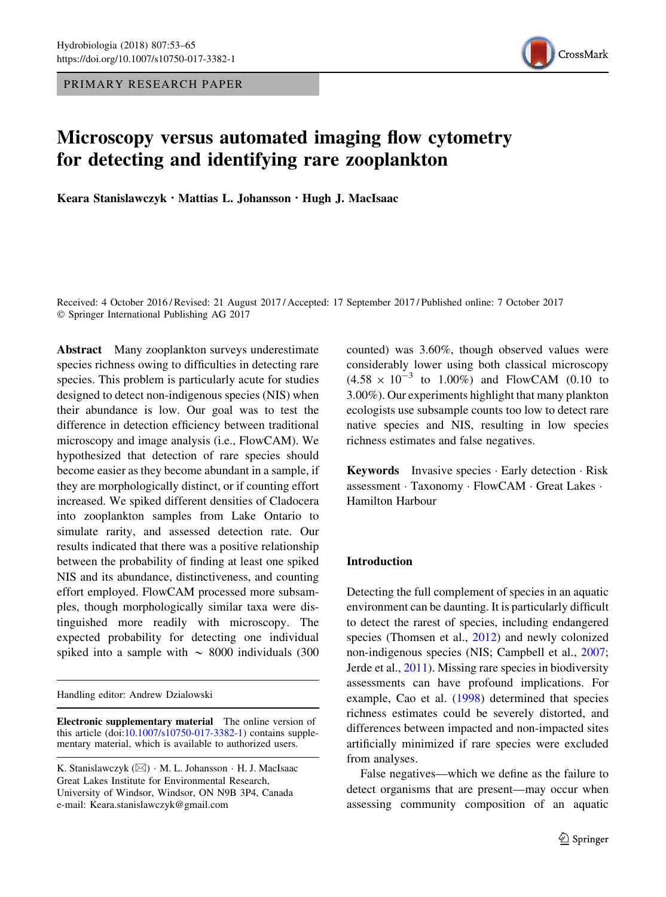PRIMARY RESEARCH PAPER



# Microscopy versus automated imaging flow cytometry for detecting and identifying rare zooplankton

Keara Stanislawczyk . Mattias L. Johansson . Hugh J. MacIsaac

Received: 4 October 2016 / Revised: 21 August 2017 / Accepted: 17 September 2017 / Published online: 7 October 2017 - Springer International Publishing AG 2017

Abstract Many zooplankton surveys underestimate species richness owing to difficulties in detecting rare species. This problem is particularly acute for studies designed to detect non-indigenous species (NIS) when their abundance is low. Our goal was to test the difference in detection efficiency between traditional microscopy and image analysis (i.e., FlowCAM). We hypothesized that detection of rare species should become easier as they become abundant in a sample, if they are morphologically distinct, or if counting effort increased. We spiked different densities of Cladocera into zooplankton samples from Lake Ontario to simulate rarity, and assessed detection rate. Our results indicated that there was a positive relationship between the probability of finding at least one spiked NIS and its abundance, distinctiveness, and counting effort employed. FlowCAM processed more subsamples, though morphologically similar taxa were distinguished more readily with microscopy. The expected probability for detecting one individual spiked into a sample with  $\sim 8000$  individuals (300)

Handling editor: Andrew Dzialowski

Electronic supplementary material The online version of this article (doi[:10.1007/s10750-017-3382-1\)](http://dx.doi.org/10.1007/s10750-017-3382-1) contains supplementary material, which is available to authorized users.

K. Stanislawczyk (&) - M. L. Johansson - H. J. MacIsaac Great Lakes Institute for Environmental Research, University of Windsor, Windsor, ON N9B 3P4, Canada e-mail: Keara.stanislawczyk@gmail.com

counted) was 3.60%, though observed values were considerably lower using both classical microscopy  $(4.58 \times 10^{-3}$  to 1.00%) and FlowCAM (0.10 to 3.00%). Our experiments highlight that many plankton ecologists use subsample counts too low to detect rare native species and NIS, resulting in low species richness estimates and false negatives.

Keywords Invasive species - Early detection - Risk assessment · Taxonomy · FlowCAM · Great Lakes · Hamilton Harbour

## Introduction

Detecting the full complement of species in an aquatic environment can be daunting. It is particularly difficult to detect the rarest of species, including endangered species (Thomsen et al., [2012](#page-11-0)) and newly colonized non-indigenous species (NIS; Campbell et al., [2007](#page-11-0); Jerde et al., [2011\)](#page-11-0). Missing rare species in biodiversity assessments can have profound implications. For example, Cao et al. [\(1998\)](#page-11-0) determined that species richness estimates could be severely distorted, and differences between impacted and non-impacted sites artificially minimized if rare species were excluded from analyses.

False negatives—which we define as the failure to detect organisms that are present—may occur when assessing community composition of an aquatic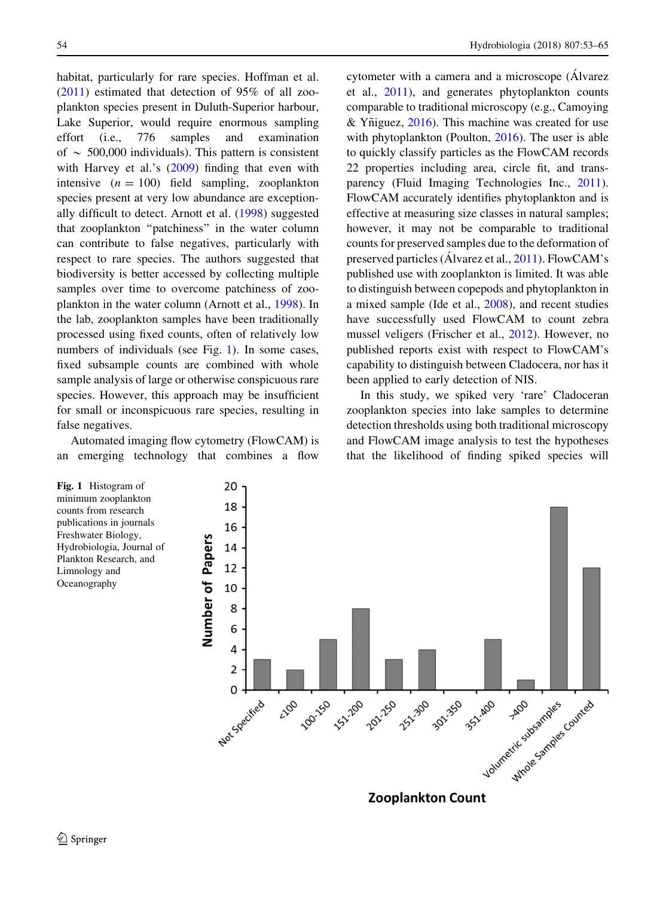<span id="page-1-0"></span>habitat, particularly for rare species. Hoffman et al. [\(2011](#page-11-0)) estimated that detection of 95% of all zooplankton species present in Duluth-Superior harbour, Lake Superior, would require enormous sampling effort (i.e., 776 samples and examination of  $\sim$  500,000 individuals). This pattern is consistent with Harvey et al.'s [\(2009](#page-11-0)) finding that even with intensive  $(n = 100)$  field sampling, zooplankton species present at very low abundance are exceptionally difficult to detect. Arnott et al. [\(1998](#page-11-0)) suggested that zooplankton ''patchiness'' in the water column can contribute to false negatives, particularly with respect to rare species. The authors suggested that biodiversity is better accessed by collecting multiple samples over time to overcome patchiness of zooplankton in the water column (Arnott et al., [1998](#page-11-0)). In the lab, zooplankton samples have been traditionally processed using fixed counts, often of relatively low numbers of individuals (see Fig. 1). In some cases, fixed subsample counts are combined with whole sample analysis of large or otherwise conspicuous rare species. However, this approach may be insufficient for small or inconspicuous rare species, resulting in false negatives.

Automated imaging flow cytometry (FlowCAM) is an emerging technology that combines a flow

cytometer with a camera and a microscope (Alvarez et al., [2011\)](#page-11-0), and generates phytoplankton counts comparable to traditional microscopy (e.g., Camoying & Yñiguez,  $2016$ ). This machine was created for use with phytoplankton (Poulton, [2016\)](#page-11-0). The user is able to quickly classify particles as the FlowCAM records 22 properties including area, circle fit, and transparency (Fluid Imaging Technologies Inc., [2011](#page-11-0)). FlowCAM accurately identifies phytoplankton and is effective at measuring size classes in natural samples; however, it may not be comparable to traditional counts for preserved samples due to the deformation of preserved particles (Alvarez et al.,  $2011$ ). FlowCAM's published use with zooplankton is limited. It was able to distinguish between copepods and phytoplankton in a mixed sample (Ide et al., [2008\)](#page-11-0), and recent studies have successfully used FlowCAM to count zebra mussel veligers (Frischer et al., [2012](#page-11-0)). However, no published reports exist with respect to FlowCAM's capability to distinguish between Cladocera, nor has it been applied to early detection of NIS.

In this study, we spiked very 'rare' Cladoceran zooplankton species into lake samples to determine detection thresholds using both traditional microscopy and FlowCAM image analysis to test the hypotheses that the likelihood of finding spiked species will

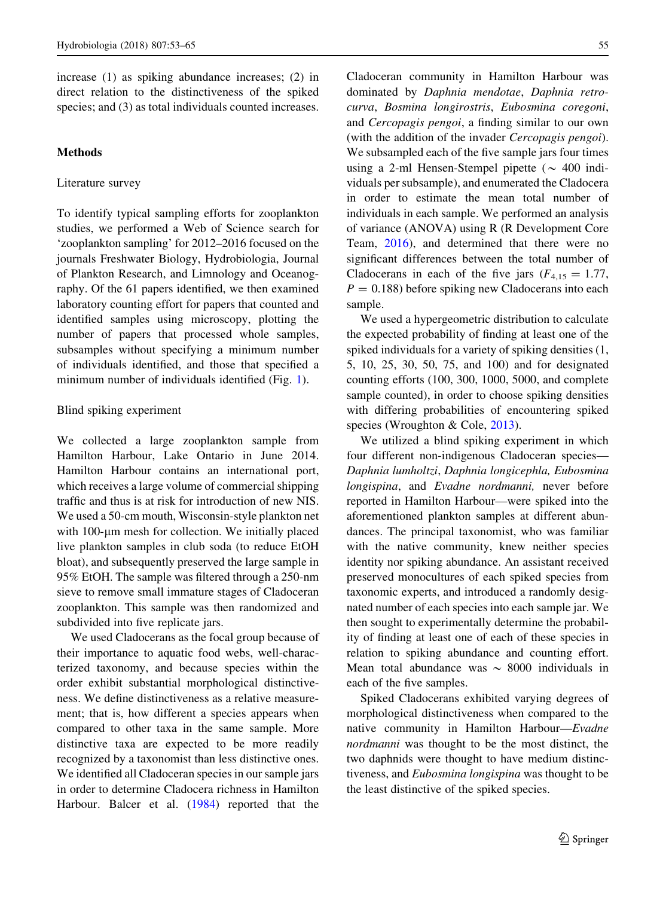increase (1) as spiking abundance increases; (2) in direct relation to the distinctiveness of the spiked species; and  $(3)$  as total individuals counted increases.

## **Methods**

### Literature survey

To identify typical sampling efforts for zooplankton studies, we performed a Web of Science search for 'zooplankton sampling' for 2012–2016 focused on the journals Freshwater Biology, Hydrobiologia, Journal of Plankton Research, and Limnology and Oceanography. Of the 61 papers identified, we then examined laboratory counting effort for papers that counted and identified samples using microscopy, plotting the number of papers that processed whole samples, subsamples without specifying a minimum number of individuals identified, and those that specified a minimum number of individuals identified (Fig. [1](#page-1-0)).

## Blind spiking experiment

We collected a large zooplankton sample from Hamilton Harbour, Lake Ontario in June 2014. Hamilton Harbour contains an international port, which receives a large volume of commercial shipping traffic and thus is at risk for introduction of new NIS. We used a 50-cm mouth, Wisconsin-style plankton net with  $100$ - $\mu$ m mesh for collection. We initially placed live plankton samples in club soda (to reduce EtOH bloat), and subsequently preserved the large sample in 95% EtOH. The sample was filtered through a 250-nm sieve to remove small immature stages of Cladoceran zooplankton. This sample was then randomized and subdivided into five replicate jars.

We used Cladocerans as the focal group because of their importance to aquatic food webs, well-characterized taxonomy, and because species within the order exhibit substantial morphological distinctiveness. We define distinctiveness as a relative measurement; that is, how different a species appears when compared to other taxa in the same sample. More distinctive taxa are expected to be more readily recognized by a taxonomist than less distinctive ones. We identified all Cladoceran species in our sample jars in order to determine Cladocera richness in Hamilton Harbour. Balcer et al. [\(1984](#page-11-0)) reported that the

Cladoceran community in Hamilton Harbour was dominated by Daphnia mendotae, Daphnia retrocurva, Bosmina longirostris, Eubosmina coregoni, and Cercopagis pengoi, a finding similar to our own (with the addition of the invader Cercopagis pengoi). We subsampled each of the five sample jars four times using a 2-ml Hensen-Stempel pipette ( $\sim$  400 individuals per subsample), and enumerated the Cladocera in order to estimate the mean total number of individuals in each sample. We performed an analysis of variance (ANOVA) using R (R Development Core Team, [2016\)](#page-11-0), and determined that there were no significant differences between the total number of Cladocerans in each of the five jars ( $F_{4,15} = 1.77$ ,  $P = 0.188$ ) before spiking new Cladocerans into each sample.

We used a hypergeometric distribution to calculate the expected probability of finding at least one of the spiked individuals for a variety of spiking densities (1, 5, 10, 25, 30, 50, 75, and 100) and for designated counting efforts (100, 300, 1000, 5000, and complete sample counted), in order to choose spiking densities with differing probabilities of encountering spiked species (Wroughton & Cole, [2013\)](#page-12-0).

We utilized a blind spiking experiment in which four different non-indigenous Cladoceran species— Daphnia lumholtzi, Daphnia longicephla, Eubosmina longispina, and Evadne nordmanni, never before reported in Hamilton Harbour—were spiked into the aforementioned plankton samples at different abundances. The principal taxonomist, who was familiar with the native community, knew neither species identity nor spiking abundance. An assistant received preserved monocultures of each spiked species from taxonomic experts, and introduced a randomly designated number of each species into each sample jar. We then sought to experimentally determine the probability of finding at least one of each of these species in relation to spiking abundance and counting effort. Mean total abundance was  $\sim 8000$  individuals in each of the five samples.

Spiked Cladocerans exhibited varying degrees of morphological distinctiveness when compared to the native community in Hamilton Harbour—Evadne nordmanni was thought to be the most distinct, the two daphnids were thought to have medium distinctiveness, and Eubosmina longispina was thought to be the least distinctive of the spiked species.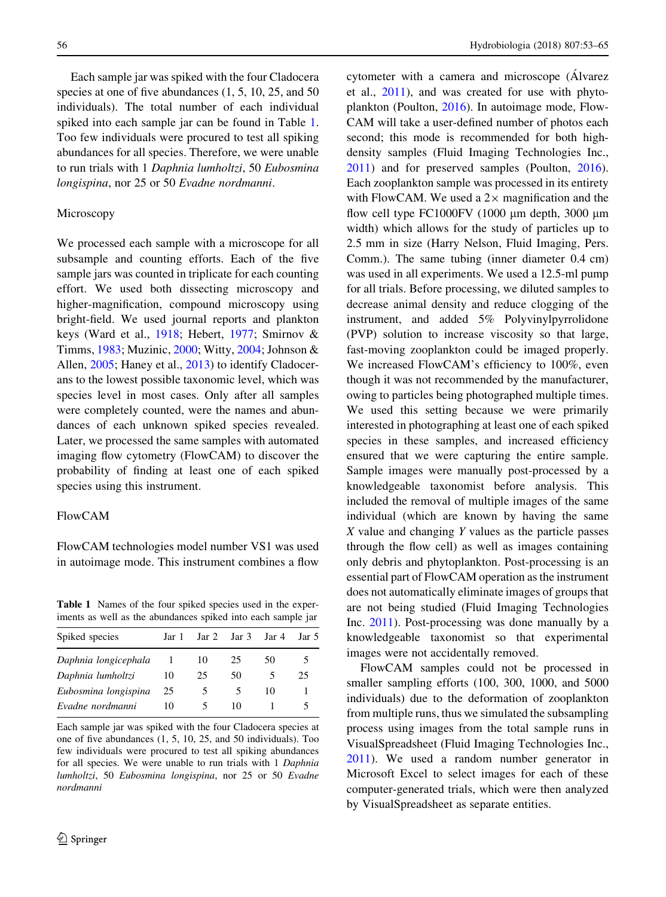Each sample jar was spiked with the four Cladocera species at one of five abundances  $(1, 5, 10, 25,$  and 50 individuals). The total number of each individual spiked into each sample jar can be found in Table 1. Too few individuals were procured to test all spiking abundances for all species. Therefore, we were unable to run trials with 1 Daphnia lumholtzi, 50 Eubosmina longispina, nor 25 or 50 Evadne nordmanni.

#### Microscopy

We processed each sample with a microscope for all subsample and counting efforts. Each of the five sample jars was counted in triplicate for each counting effort. We used both dissecting microscopy and higher-magnification, compound microscopy using bright-field. We used journal reports and plankton keys (Ward et al., [1918](#page-12-0); Hebert, [1977;](#page-11-0) Smirnov & Timms, [1983;](#page-11-0) Muzinic, [2000](#page-11-0); Witty, [2004;](#page-12-0) Johnson & Allen, [2005](#page-11-0); Haney et al., [2013\)](#page-11-0) to identify Cladocerans to the lowest possible taxonomic level, which was species level in most cases. Only after all samples were completely counted, were the names and abundances of each unknown spiked species revealed. Later, we processed the same samples with automated imaging flow cytometry (FlowCAM) to discover the probability of finding at least one of each spiked species using this instrument.

#### FlowCAM

FlowCAM technologies model number VS1 was used in autoimage mode. This instrument combines a flow

Table 1 Names of the four spiked species used in the experiments as well as the abundances spiked into each sample jar

| Spiked species       | Jar 1 | $\text{ Jar } 2$ | Jar 3 | Jar 4 | Jar 5 |
|----------------------|-------|------------------|-------|-------|-------|
| Daphnia longicephala |       | 10               | 25    | 50    |       |
| Daphnia lumholtzi    | 10    | 25               | 50    | 5     | 25    |
| Eubosmina longispina | 25    | C                | 5     | 10    |       |
| Evadne nordmanni     | 10    |                  | 10    |       |       |
|                      |       |                  |       |       |       |

Each sample jar was spiked with the four Cladocera species at one of five abundances (1, 5, 10, 25, and 50 individuals). Too few individuals were procured to test all spiking abundances for all species. We were unable to run trials with 1 Daphnia lumholtzi, 50 Eubosmina longispina, nor 25 or 50 Evadne nordmanni

cytometer with a camera and microscope (Alvarez et al., [2011\)](#page-11-0), and was created for use with phytoplankton (Poulton, [2016](#page-11-0)). In autoimage mode, Flow-CAM will take a user-defined number of photos each second; this mode is recommended for both highdensity samples (Fluid Imaging Technologies Inc., [2011\)](#page-11-0) and for preserved samples (Poulton, [2016](#page-11-0)). Each zooplankton sample was processed in its entirety with FlowCAM. We used a  $2\times$  magnification and the flow cell type FC1000FV (1000  $\mu$ m depth, 3000  $\mu$ m width) which allows for the study of particles up to 2.5 mm in size (Harry Nelson, Fluid Imaging, Pers. Comm.). The same tubing (inner diameter 0.4 cm) was used in all experiments. We used a 12.5-ml pump for all trials. Before processing, we diluted samples to decrease animal density and reduce clogging of the instrument, and added 5% Polyvinylpyrrolidone (PVP) solution to increase viscosity so that large, fast-moving zooplankton could be imaged properly. We increased FlowCAM's efficiency to 100%, even though it was not recommended by the manufacturer, owing to particles being photographed multiple times. We used this setting because we were primarily interested in photographing at least one of each spiked species in these samples, and increased efficiency ensured that we were capturing the entire sample. Sample images were manually post-processed by a knowledgeable taxonomist before analysis. This included the removal of multiple images of the same individual (which are known by having the same X value and changing Y values as the particle passes through the flow cell) as well as images containing only debris and phytoplankton. Post-processing is an essential part of FlowCAM operation as the instrument does not automatically eliminate images of groups that are not being studied (Fluid Imaging Technologies Inc. [2011\)](#page-11-0). Post-processing was done manually by a knowledgeable taxonomist so that experimental images were not accidentally removed.

FlowCAM samples could not be processed in smaller sampling efforts (100, 300, 1000, and 5000 individuals) due to the deformation of zooplankton from multiple runs, thus we simulated the subsampling process using images from the total sample runs in VisualSpreadsheet (Fluid Imaging Technologies Inc., [2011\)](#page-11-0). We used a random number generator in Microsoft Excel to select images for each of these computer-generated trials, which were then analyzed by VisualSpreadsheet as separate entities.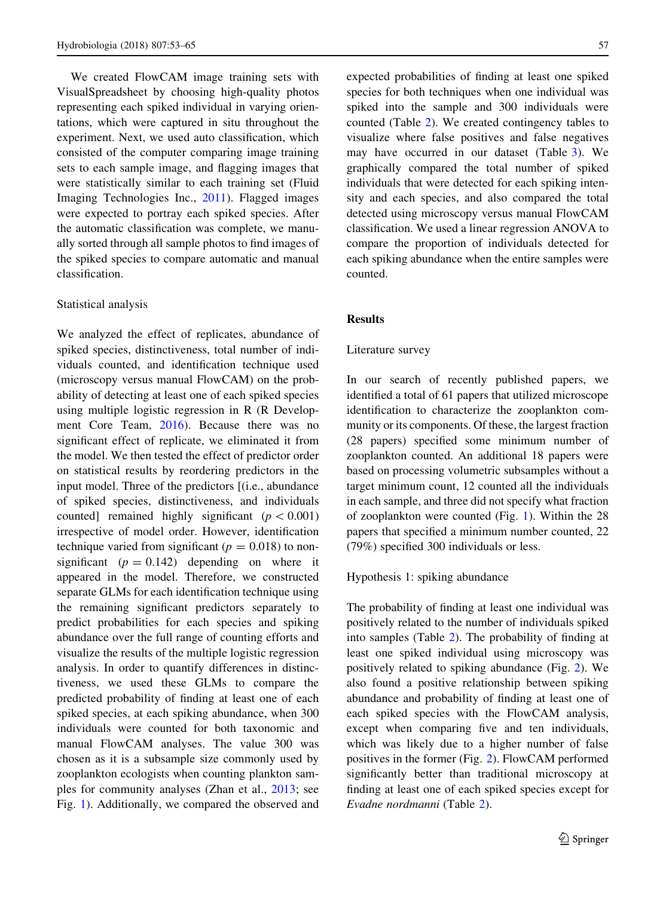We created FlowCAM image training sets with VisualSpreadsheet by choosing high-quality photos representing each spiked individual in varying orientations, which were captured in situ throughout the experiment. Next, we used auto classification, which consisted of the computer comparing image training sets to each sample image, and flagging images that were statistically similar to each training set (Fluid Imaging Technologies Inc., [2011](#page-11-0)). Flagged images were expected to portray each spiked species. After the automatic classification was complete, we manually sorted through all sample photos to find images of the spiked species to compare automatic and manual classification.

#### Statistical analysis

We analyzed the effect of replicates, abundance of spiked species, distinctiveness, total number of individuals counted, and identification technique used (microscopy versus manual FlowCAM) on the probability of detecting at least one of each spiked species using multiple logistic regression in R (R Development Core Team, [2016](#page-11-0)). Because there was no significant effect of replicate, we eliminated it from the model. We then tested the effect of predictor order on statistical results by reordering predictors in the input model. Three of the predictors [(i.e., abundance of spiked species, distinctiveness, and individuals counted] remained highly significant  $(p<0.001)$ irrespective of model order. However, identification technique varied from significant ( $p = 0.018$ ) to nonsignificant ( $p = 0.142$ ) depending on where it appeared in the model. Therefore, we constructed separate GLMs for each identification technique using the remaining significant predictors separately to predict probabilities for each species and spiking abundance over the full range of counting efforts and visualize the results of the multiple logistic regression analysis. In order to quantify differences in distinctiveness, we used these GLMs to compare the predicted probability of finding at least one of each spiked species, at each spiking abundance, when 300 individuals were counted for both taxonomic and manual FlowCAM analyses. The value 300 was chosen as it is a subsample size commonly used by zooplankton ecologists when counting plankton samples for community analyses (Zhan et al., [2013;](#page-12-0) see Fig. [1\)](#page-1-0). Additionally, we compared the observed and

expected probabilities of finding at least one spiked species for both techniques when one individual was spiked into the sample and 300 individuals were counted (Table [2](#page-5-0)). We created contingency tables to visualize where false positives and false negatives may have occurred in our dataset (Table [3\)](#page-6-0). We graphically compared the total number of spiked individuals that were detected for each spiking intensity and each species, and also compared the total detected using microscopy versus manual FlowCAM classification. We used a linear regression ANOVA to compare the proportion of individuals detected for each spiking abundance when the entire samples were counted.

## Results

## Literature survey

In our search of recently published papers, we identified a total of 61 papers that utilized microscope identification to characterize the zooplankton community or its components. Of these, the largest fraction (28 papers) specified some minimum number of zooplankton counted. An additional 18 papers were based on processing volumetric subsamples without a target minimum count, 12 counted all the individuals in each sample, and three did not specify what fraction of zooplankton were counted (Fig. [1](#page-1-0)). Within the 28 papers that specified a minimum number counted, 22 (79%) specified 300 individuals or less.

Hypothesis 1: spiking abundance

The probability of finding at least one individual was positively related to the number of individuals spiked into samples (Table [2](#page-5-0)). The probability of finding at least one spiked individual using microscopy was positively related to spiking abundance (Fig. [2](#page-7-0)). We also found a positive relationship between spiking abundance and probability of finding at least one of each spiked species with the FlowCAM analysis, except when comparing five and ten individuals, which was likely due to a higher number of false positives in the former (Fig. [2\)](#page-7-0). FlowCAM performed significantly better than traditional microscopy at finding at least one of each spiked species except for Evadne nordmanni (Table [2\)](#page-5-0).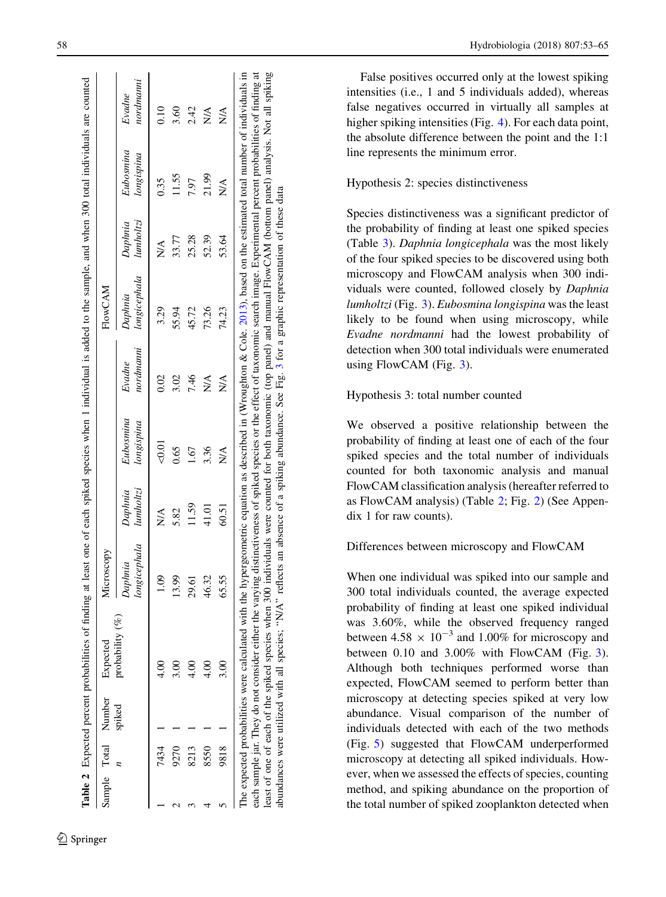<span id="page-5-0"></span>

|      | Sample Total Number | Expected           | Microscopy              |                              |                         |                                 | FlowCAM                 |                      |                         |                                 |
|------|---------------------|--------------------|-------------------------|------------------------------|-------------------------|---------------------------------|-------------------------|----------------------|-------------------------|---------------------------------|
|      | spiked              | probability $(\%)$ | longicephala<br>Daphnia | lumholtzi<br>Daphnia         | Eubosmina<br>longispina | nordmanni<br>Evadne             | longicephala<br>Daphnia | lumholtzi<br>Daphnia | Eubosmina<br>longispina | nordmanni<br>Evadne             |
| 7434 |                     | $\frac{3}{4}$      | 1.09                    | $\stackrel{\triangle}{\geq}$ | 5<br>5                  | 0.02                            | 3.29                    | $\overline{N}$       | 0.35                    | 0.10                            |
| 9270 |                     | ું                 | 13.99                   | 5.82                         | 0.65                    | 3.02                            | 55.94                   | 33.77                | 11.55                   | 3.60                            |
| 8213 |                     | ⊄<br>4             | 29.61                   | 11.59                        | 1.67                    | 7.46                            | 45.72                   | 25.28                | 7.97                    | 2.42                            |
| 8550 |                     | ⊄<br>⊅             | 46.32                   | 41.01                        | 3.36                    | $\stackrel{\triangle}{\approx}$ | 73.26                   | 52.39                | 21.99                   | $\stackrel{\triangle}{\approx}$ |
| 9818 |                     | <u>3.00</u>        | 65.55                   | 60.51                        | ₿                       | N/A                             | 74.23                   | 53.64                | ₿                       | N/A                             |

Fig. 3 for a graphic representation of these data

abundances were utilized with all species; "N/A" reflects an absence of a spiking abundance. See Fig. [3](#page-8-0) for a graphic representation of these data

abundances were utilized with all species; "N/A" reflects an absence of a spiking abundance. See

False positives occurred only at the lowest spiking intensities (i.e., 1 and 5 individuals added), whereas false negatives occurred in virtually all samples at higher spiking intensities (Fig. [4](#page-9-0)). For each data point, the absolute difference between the point and the 1:1 line represents the minimum error.

# Hypothesis 2: species distinctiveness

Species distinctiveness was a significant predictor of the probability of finding at least one spiked species (Table [3](#page-6-0)). Daphnia longicephala was the most likely of the four spiked species to be discovered using both microscopy and FlowCAM analysis when 300 individuals were counted, followed closely by Daphnia lumholtzi (Fig. [3](#page-8-0)). Eubosmina longispina was the least likely to be found when using microscopy, while Evadne nordmanni had the lowest probability of detection when 300 total individuals were enumerated using FlowCAM (Fig. [3\)](#page-8-0).

## Hypothesis 3: total number counted

We observed a positive relationship between the probability of finding at least one of each of the four spiked species and the total number of individuals counted for both taxonomic analysis and manual FlowCAM classification analysis (hereafter referred to as FlowCAM analysis) (Table 2; Fig. [2\)](#page-7-0) (See Appendix 1 for raw counts).

# Differences between microscopy and FlowCAM

When one individual was spiked into our sample and 300 total individuals counted, the average expected probability of finding at least one spiked individual was 3.60%, while the observed frequency ranged between  $4.58 \times 10^{-3}$  and 1.00% for microscopy and between 0.10 and 3.00% with FlowCAM (Fig. [3](#page-8-0)). Although both techniques performed worse than expected, FlowCAM seemed to perform better than microscopy at detecting species spiked at very low abundance. Visual comparison of the number of individuals detected with each of the two methods (Fig. [5](#page-10-0)) suggested that FlowCAM underperformed microscopy at detecting all spiked individuals. However, when we assessed the effects of species, counting method, and spiking abundance on the proportion of the total number of spiked zooplankton detected when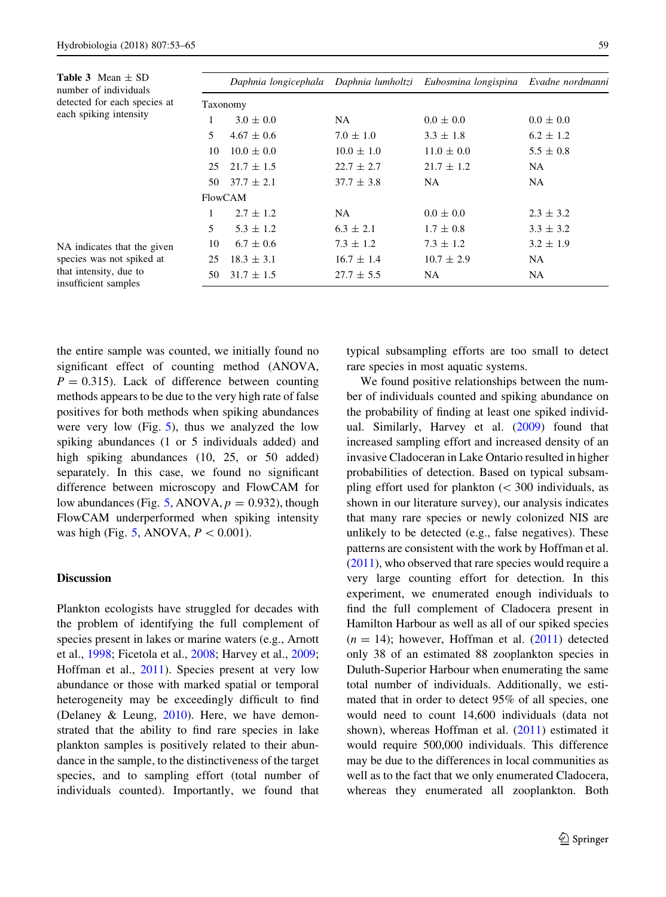<span id="page-6-0"></span>

| <b>Table 3</b> Mean $\pm$ SD<br>number of individuals                                                      |    |                |                | Daphnia longicephala Daphnia lumholtzi Eubosmina longispina | Evadne nordmanni |  |  |
|------------------------------------------------------------------------------------------------------------|----|----------------|----------------|-------------------------------------------------------------|------------------|--|--|
| detected for each species at<br>each spiking intensity                                                     |    | Taxonomy       |                |                                                             |                  |  |  |
|                                                                                                            |    | $3.0 \pm 0.0$  | NA.            | $0.0 \pm 0.0$                                               | $0.0 \pm 0.0$    |  |  |
|                                                                                                            | 5  | $4.67 \pm 0.6$ | $7.0 \pm 1.0$  | $3.3 \pm 1.8$                                               | $6.2 \pm 1.2$    |  |  |
|                                                                                                            | 10 | $10.0 \pm 0.0$ | $10.0 \pm 1.0$ | $11.0 \pm 0.0$                                              | $5.5 \pm 0.8$    |  |  |
|                                                                                                            | 25 | $21.7 \pm 1.5$ | $22.7 \pm 2.7$ | $21.7 \pm 1.2$                                              | NA               |  |  |
|                                                                                                            | 50 | $37.7 \pm 2.1$ | $37.7 \pm 3.8$ | NA                                                          | NA.              |  |  |
|                                                                                                            |    | FlowCAM        |                |                                                             |                  |  |  |
|                                                                                                            |    | $2.7 \pm 1.2$  | <b>NA</b>      | $0.0 \pm 0.0$                                               | $2.3 \pm 3.2$    |  |  |
|                                                                                                            | 5. | $5.3 \pm 1.2$  | $6.3 \pm 2.1$  | $1.7 \pm 0.8$                                               | $3.3 \pm 3.2$    |  |  |
| NA indicates that the given<br>species was not spiked at<br>that intensity, due to<br>insufficient samples | 10 | $6.7 \pm 0.6$  | $7.3 \pm 1.2$  | $7.3 \pm 1.2$                                               | $3.2 \pm 1.9$    |  |  |
|                                                                                                            | 25 | $18.3 \pm 3.1$ | $16.7 \pm 1.4$ | $10.7 \pm 2.9$                                              | NA.              |  |  |
|                                                                                                            | 50 | $31.7 \pm 1.5$ | $27.7 \pm 5.5$ | NA                                                          | NA.              |  |  |

the entire sample was counted, we initially found no significant effect of counting method (ANOVA,  $P = 0.315$ ). Lack of difference between counting methods appears to be due to the very high rate of false positives for both methods when spiking abundances were very low (Fig. [5\)](#page-10-0), thus we analyzed the low spiking abundances (1 or 5 individuals added) and high spiking abundances (10, 25, or 50 added) separately. In this case, we found no significant difference between microscopy and FlowCAM for low abundances (Fig. [5,](#page-10-0) ANOVA,  $p = 0.932$ ), though FlowCAM underperformed when spiking intensity was high (Fig. [5](#page-10-0), ANOVA,  $P < 0.001$ ).

## Discussion

Plankton ecologists have struggled for decades with the problem of identifying the full complement of species present in lakes or marine waters (e.g., Arnott et al., [1998;](#page-11-0) Ficetola et al., [2008;](#page-11-0) Harvey et al., [2009](#page-11-0); Hoffman et al., [2011](#page-11-0)). Species present at very low abundance or those with marked spatial or temporal heterogeneity may be exceedingly difficult to find (Delaney & Leung, [2010\)](#page-11-0). Here, we have demonstrated that the ability to find rare species in lake plankton samples is positively related to their abundance in the sample, to the distinctiveness of the target species, and to sampling effort (total number of individuals counted). Importantly, we found that typical subsampling efforts are too small to detect rare species in most aquatic systems.

We found positive relationships between the number of individuals counted and spiking abundance on the probability of finding at least one spiked individual. Similarly, Harvey et al. ([2009\)](#page-11-0) found that increased sampling effort and increased density of an invasive Cladoceran in Lake Ontario resulted in higher probabilities of detection. Based on typical subsampling effort used for plankton  $(< 300$  individuals, as shown in our literature survey), our analysis indicates that many rare species or newly colonized NIS are unlikely to be detected (e.g., false negatives). These patterns are consistent with the work by Hoffman et al. [\(2011](#page-11-0)), who observed that rare species would require a very large counting effort for detection. In this experiment, we enumerated enough individuals to find the full complement of Cladocera present in Hamilton Harbour as well as all of our spiked species  $(n = 14)$ ; however, Hoffman et al.  $(2011)$  $(2011)$  detected only 38 of an estimated 88 zooplankton species in Duluth-Superior Harbour when enumerating the same total number of individuals. Additionally, we estimated that in order to detect 95% of all species, one would need to count 14,600 individuals (data not shown), whereas Hoffman et al.  $(2011)$  $(2011)$  estimated it would require 500,000 individuals. This difference may be due to the differences in local communities as well as to the fact that we only enumerated Cladocera, whereas they enumerated all zooplankton. Both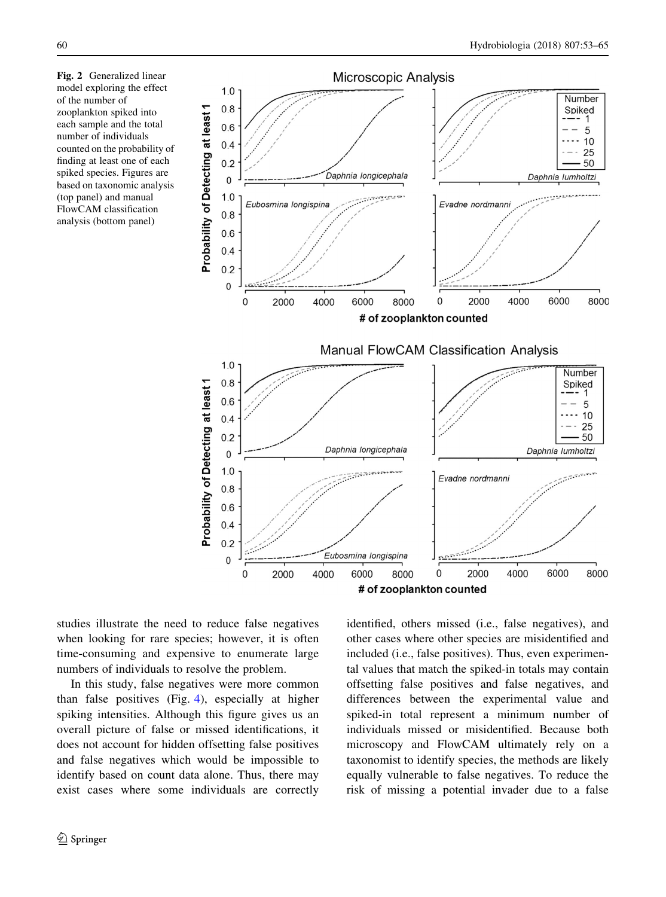<span id="page-7-0"></span>Fig. 2 Generalized linear model exploring the effect of the number of zooplankton spiked into each sample and the total number of individuals counted on the probability of finding at least one of each spiked species. Figures are based on taxonomic analysis (top panel) and manual FlowCAM classification analysis (bottom panel)



studies illustrate the need to reduce false negatives when looking for rare species; however, it is often time-consuming and expensive to enumerate large numbers of individuals to resolve the problem.

In this study, false negatives were more common than false positives (Fig. [4\)](#page-9-0), especially at higher spiking intensities. Although this figure gives us an overall picture of false or missed identifications, it does not account for hidden offsetting false positives and false negatives which would be impossible to identify based on count data alone. Thus, there may exist cases where some individuals are correctly identified, others missed (i.e., false negatives), and other cases where other species are misidentified and included (i.e., false positives). Thus, even experimental values that match the spiked-in totals may contain offsetting false positives and false negatives, and differences between the experimental value and spiked-in total represent a minimum number of individuals missed or misidentified. Because both microscopy and FlowCAM ultimately rely on a taxonomist to identify species, the methods are likely equally vulnerable to false negatives. To reduce the risk of missing a potential invader due to a false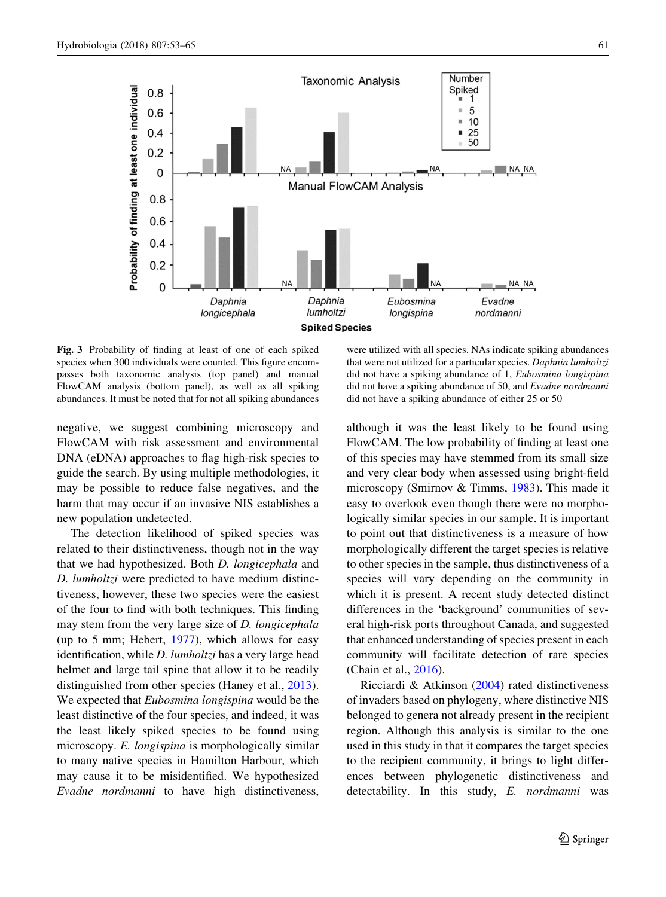<span id="page-8-0"></span>

Fig. 3 Probability of finding at least of one of each spiked species when 300 individuals were counted. This figure encompasses both taxonomic analysis (top panel) and manual FlowCAM analysis (bottom panel), as well as all spiking abundances. It must be noted that for not all spiking abundances

negative, we suggest combining microscopy and FlowCAM with risk assessment and environmental DNA (eDNA) approaches to flag high-risk species to guide the search. By using multiple methodologies, it may be possible to reduce false negatives, and the harm that may occur if an invasive NIS establishes a new population undetected.

The detection likelihood of spiked species was related to their distinctiveness, though not in the way that we had hypothesized. Both D. longicephala and D. lumholtzi were predicted to have medium distinctiveness, however, these two species were the easiest of the four to find with both techniques. This finding may stem from the very large size of D. longicephala (up to 5 mm; Hebert, [1977](#page-11-0)), which allows for easy identification, while *D. lumholtzi* has a very large head helmet and large tail spine that allow it to be readily distinguished from other species (Haney et al., [2013](#page-11-0)). We expected that *Eubosmina longispina* would be the least distinctive of the four species, and indeed, it was the least likely spiked species to be found using microscopy. E. longispina is morphologically similar to many native species in Hamilton Harbour, which may cause it to be misidentified. We hypothesized Evadne nordmanni to have high distinctiveness,

were utilized with all species. NAs indicate spiking abundances that were not utilized for a particular species. Daphnia lumholtzi did not have a spiking abundance of 1, Eubosmina longispina did not have a spiking abundance of 50, and Evadne nordmanni did not have a spiking abundance of either 25 or 50

although it was the least likely to be found using FlowCAM. The low probability of finding at least one of this species may have stemmed from its small size and very clear body when assessed using bright-field microscopy (Smirnov & Timms, [1983](#page-11-0)). This made it easy to overlook even though there were no morphologically similar species in our sample. It is important to point out that distinctiveness is a measure of how morphologically different the target species is relative to other species in the sample, thus distinctiveness of a species will vary depending on the community in which it is present. A recent study detected distinct differences in the 'background' communities of several high-risk ports throughout Canada, and suggested that enhanced understanding of species present in each community will facilitate detection of rare species (Chain et al., [2016\)](#page-11-0).

Ricciardi & Atkinson [\(2004](#page-11-0)) rated distinctiveness of invaders based on phylogeny, where distinctive NIS belonged to genera not already present in the recipient region. Although this analysis is similar to the one used in this study in that it compares the target species to the recipient community, it brings to light differences between phylogenetic distinctiveness and detectability. In this study, E. nordmanni was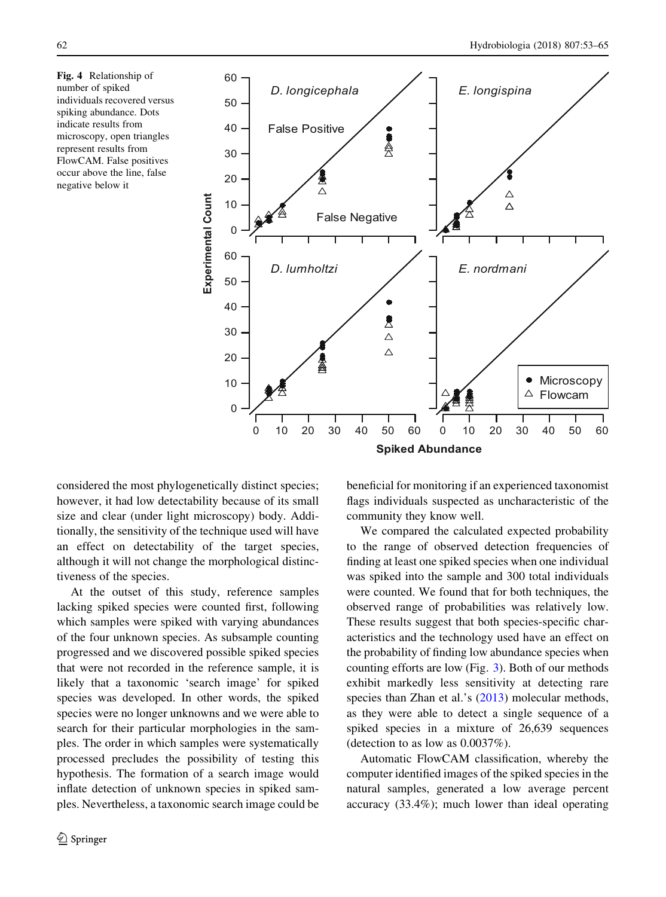Fig. 4 Relationship of number of spiked individuals recovered versus spiking abundance. Dots indicate results from microscopy, open triangles represent results from FlowCAM. False positives occur above the line, false negative below it

<span id="page-9-0"></span>

**Spiked Abundance**

 $\Omega$ 

60

0 10 20 30 40 50 60

40

50

30

considered the most phylogenetically distinct species; however, it had low detectability because of its small size and clear (under light microscopy) body. Additionally, the sensitivity of the technique used will have an effect on detectability of the target species, although it will not change the morphological distinctiveness of the species.

**Experimental Count**

 $10$ 

 $\mathbf 0$ 

 $10$ 

 $\overline{0}$ 

20

Experimental Count

At the outset of this study, reference samples lacking spiked species were counted first, following which samples were spiked with varying abundances of the four unknown species. As subsample counting progressed and we discovered possible spiked species that were not recorded in the reference sample, it is likely that a taxonomic 'search image' for spiked species was developed. In other words, the spiked species were no longer unknowns and we were able to search for their particular morphologies in the samples. The order in which samples were systematically processed precludes the possibility of testing this hypothesis. The formation of a search image would inflate detection of unknown species in spiked samples. Nevertheless, a taxonomic search image could be beneficial for monitoring if an experienced taxonomist flags individuals suspected as uncharacteristic of the community they know well.

 $10$ 

20

0 10 20 30 40 50 60

30

 $\triangle$  Microscopy<br> $\triangle$  Flowcam Flowcam

50

60

40

We compared the calculated expected probability to the range of observed detection frequencies of finding at least one spiked species when one individual was spiked into the sample and 300 total individuals were counted. We found that for both techniques, the observed range of probabilities was relatively low. These results suggest that both species-specific characteristics and the technology used have an effect on the probability of finding low abundance species when counting efforts are low (Fig. [3](#page-8-0)). Both of our methods exhibit markedly less sensitivity at detecting rare species than Zhan et al.'s [\(2013](#page-12-0)) molecular methods, as they were able to detect a single sequence of a spiked species in a mixture of 26,639 sequences (detection to as low as  $0.0037\%$ ).

Automatic FlowCAM classification, whereby the computer identified images of the spiked species in the natural samples, generated a low average percent accuracy (33.4%); much lower than ideal operating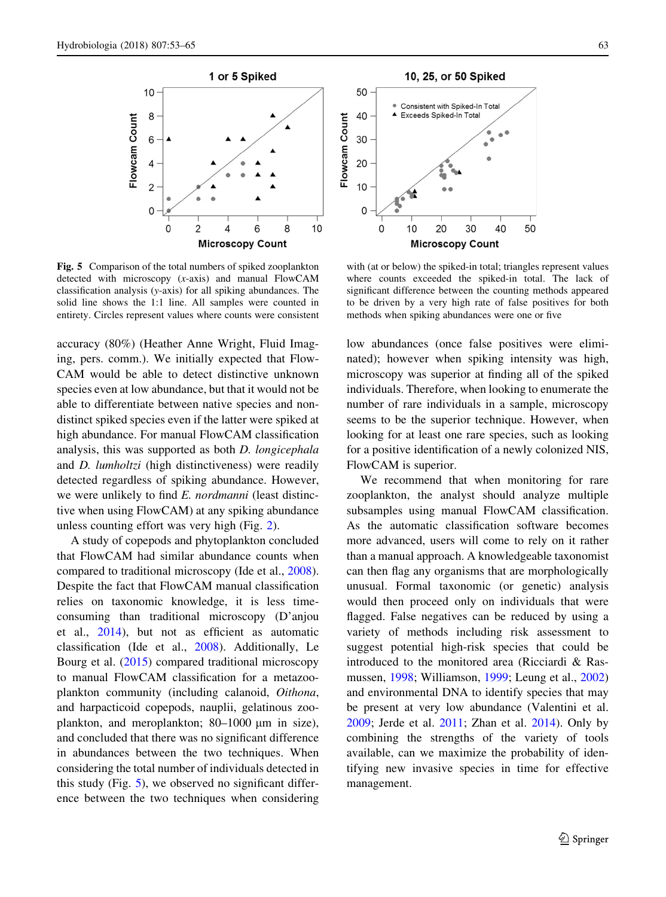<span id="page-10-0"></span>

Fig. 5 Comparison of the total numbers of spiked zooplankton detected with microscopy (x-axis) and manual FlowCAM classification analysis (y-axis) for all spiking abundances. The solid line shows the 1:1 line. All samples were counted in entirety. Circles represent values where counts were consistent

accuracy (80%) (Heather Anne Wright, Fluid Imaging, pers. comm.). We initially expected that Flow-CAM would be able to detect distinctive unknown species even at low abundance, but that it would not be able to differentiate between native species and nondistinct spiked species even if the latter were spiked at high abundance. For manual FlowCAM classification analysis, this was supported as both D. longicephala and D. lumholtzi (high distinctiveness) were readily detected regardless of spiking abundance. However, we were unlikely to find *E. nordmanni* (least distinctive when using FlowCAM) at any spiking abundance unless counting effort was very high (Fig. [2](#page-7-0)).

A study of copepods and phytoplankton concluded that FlowCAM had similar abundance counts when compared to traditional microscopy (Ide et al., [2008](#page-11-0)). Despite the fact that FlowCAM manual classification relies on taxonomic knowledge, it is less timeconsuming than traditional microscopy (D'anjou et al., [2014](#page-11-0)), but not as efficient as automatic classification (Ide et al., [2008](#page-11-0)). Additionally, Le Bourg et al. ([2015\)](#page-11-0) compared traditional microscopy to manual FlowCAM classification for a metazooplankton community (including calanoid, Oithona, and harpacticoid copepods, nauplii, gelatinous zooplankton, and meroplankton;  $80-1000 \mu m$  in size), and concluded that there was no significant difference in abundances between the two techniques. When considering the total number of individuals detected in this study (Fig. 5), we observed no significant difference between the two techniques when considering



with (at or below) the spiked-in total; triangles represent values where counts exceeded the spiked-in total. The lack of significant difference between the counting methods appeared to be driven by a very high rate of false positives for both methods when spiking abundances were one or five

low abundances (once false positives were eliminated); however when spiking intensity was high, microscopy was superior at finding all of the spiked individuals. Therefore, when looking to enumerate the number of rare individuals in a sample, microscopy seems to be the superior technique. However, when looking for at least one rare species, such as looking for a positive identification of a newly colonized NIS, FlowCAM is superior.

We recommend that when monitoring for rare zooplankton, the analyst should analyze multiple subsamples using manual FlowCAM classification. As the automatic classification software becomes more advanced, users will come to rely on it rather than a manual approach. A knowledgeable taxonomist can then flag any organisms that are morphologically unusual. Formal taxonomic (or genetic) analysis would then proceed only on individuals that were flagged. False negatives can be reduced by using a variety of methods including risk assessment to suggest potential high-risk species that could be introduced to the monitored area (Ricciardi & Rasmussen, [1998](#page-11-0); Williamson, [1999;](#page-12-0) Leung et al., [2002\)](#page-11-0) and environmental DNA to identify species that may be present at very low abundance (Valentini et al. [2009;](#page-11-0) Jerde et al. [2011](#page-11-0); Zhan et al. [2014\)](#page-12-0). Only by combining the strengths of the variety of tools available, can we maximize the probability of identifying new invasive species in time for effective management.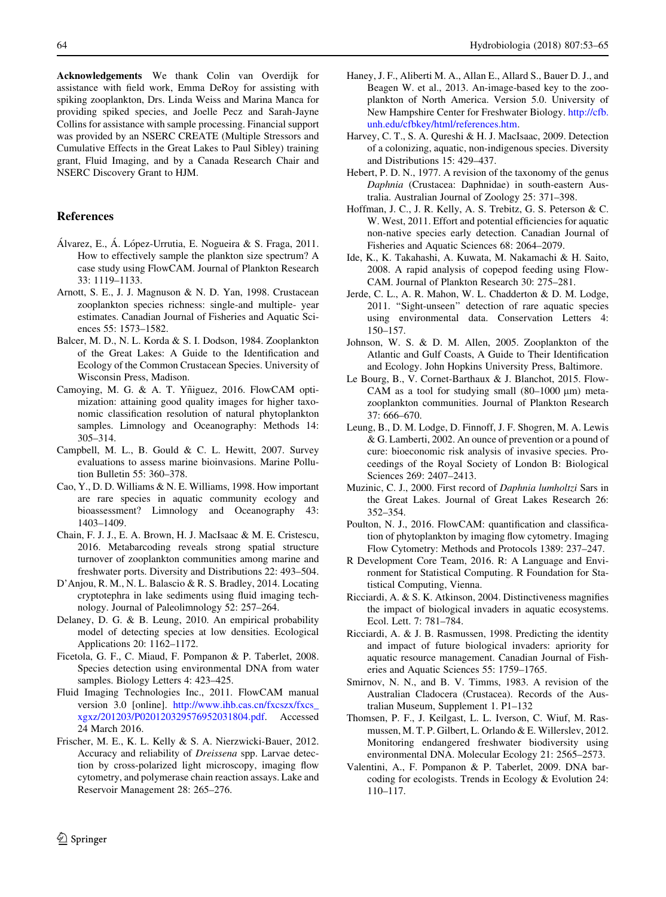<span id="page-11-0"></span>Acknowledgements We thank Colin van Overdijk for assistance with field work, Emma DeRoy for assisting with spiking zooplankton, Drs. Linda Weiss and Marina Manca for providing spiked species, and Joelle Pecz and Sarah-Jayne Collins for assistance with sample processing. Financial support was provided by an NSERC CREATE (Multiple Stressors and Cumulative Effects in the Great Lakes to Paul Sibley) training grant, Fluid Imaging, and by a Canada Research Chair and NSERC Discovery Grant to HJM.

## References

- Álvarez, E., Á. López-Urrutia, E. Nogueira & S. Fraga, 2011. How to effectively sample the plankton size spectrum? A case study using FlowCAM. Journal of Plankton Research 33: 1119–1133.
- Arnott, S. E., J. J. Magnuson & N. D. Yan, 1998. Crustacean zooplankton species richness: single-and multiple- year estimates. Canadian Journal of Fisheries and Aquatic Sciences 55: 1573–1582.
- Balcer, M. D., N. L. Korda & S. I. Dodson, 1984. Zooplankton of the Great Lakes: A Guide to the Identification and Ecology of the Common Crustacean Species. University of Wisconsin Press, Madison.
- Camoying, M. G. & A. T. Yñiguez, 2016. FlowCAM optimization: attaining good quality images for higher taxonomic classification resolution of natural phytoplankton samples. Limnology and Oceanography: Methods 14: 305–314.
- Campbell, M. L., B. Gould & C. L. Hewitt, 2007. Survey evaluations to assess marine bioinvasions. Marine Pollution Bulletin 55: 360–378.
- Cao, Y., D. D. Williams & N. E. Williams, 1998. How important are rare species in aquatic community ecology and bioassessment? Limnology and Oceanography 43: 1403–1409.
- Chain, F. J. J., E. A. Brown, H. J. MacIsaac & M. E. Cristescu, 2016. Metabarcoding reveals strong spatial structure turnover of zooplankton communities among marine and freshwater ports. Diversity and Distributions 22: 493–504.
- D'Anjou, R. M., N. L. Balascio & R. S. Bradley, 2014. Locating cryptotephra in lake sediments using fluid imaging technology. Journal of Paleolimnology 52: 257–264.
- Delaney, D. G. & B. Leung, 2010. An empirical probability model of detecting species at low densities. Ecological Applications 20: 1162–1172.
- Ficetola, G. F., C. Miaud, F. Pompanon & P. Taberlet, 2008. Species detection using environmental DNA from water samples. Biology Letters 4: 423–425.
- Fluid Imaging Technologies Inc., 2011. FlowCAM manual version 3.0 [online]. [http://www.ihb.cas.cn/fxcszx/fxcs\\_](http://www.ihb.cas.cn/fxcszx/fxcs_xgxz/201203/P020120329576952031804.pdf) [xgxz/201203/P020120329576952031804.pdf](http://www.ihb.cas.cn/fxcszx/fxcs_xgxz/201203/P020120329576952031804.pdf). Accessed 24 March 2016.
- Frischer, M. E., K. L. Kelly & S. A. Nierzwicki-Bauer, 2012. Accuracy and reliability of Dreissena spp. Larvae detection by cross-polarized light microscopy, imaging flow cytometry, and polymerase chain reaction assays. Lake and Reservoir Management 28: 265–276.
- Haney, J. F., Aliberti M. A., Allan E., Allard S., Bauer D. J., and Beagen W. et al., 2013. An-image-based key to the zooplankton of North America. Version 5.0. University of New Hampshire Center for Freshwater Biology. [http://cfb.](http://cfb.unh.edu/cfbkey/html/references.htm) [unh.edu/cfbkey/html/references.htm](http://cfb.unh.edu/cfbkey/html/references.htm).
- Harvey, C. T., S. A. Qureshi & H. J. MacIsaac, 2009. Detection of a colonizing, aquatic, non-indigenous species. Diversity and Distributions 15: 429–437.
- Hebert, P. D. N., 1977. A revision of the taxonomy of the genus Daphnia (Crustacea: Daphnidae) in south-eastern Australia. Australian Journal of Zoology 25: 371–398.
- Hoffman, J. C., J. R. Kelly, A. S. Trebitz, G. S. Peterson & C. W. West, 2011. Effort and potential efficiencies for aquatic non-native species early detection. Canadian Journal of Fisheries and Aquatic Sciences 68: 2064–2079.
- Ide, K., K. Takahashi, A. Kuwata, M. Nakamachi & H. Saito, 2008. A rapid analysis of copepod feeding using Flow-CAM. Journal of Plankton Research 30: 275–281.
- Jerde, C. L., A. R. Mahon, W. L. Chadderton & D. M. Lodge, 2011. "Sight-unseen" detection of rare aquatic species using environmental data. Conservation Letters 4: 150–157.
- Johnson, W. S. & D. M. Allen, 2005. Zooplankton of the Atlantic and Gulf Coasts, A Guide to Their Identification and Ecology. John Hopkins University Press, Baltimore.
- Le Bourg, B., V. Cornet-Barthaux & J. Blanchot, 2015. Flow-CAM as a tool for studying small  $(80-1000 \mu m)$  metazooplankton communities. Journal of Plankton Research 37: 666–670.
- Leung, B., D. M. Lodge, D. Finnoff, J. F. Shogren, M. A. Lewis & G. Lamberti, 2002. An ounce of prevention or a pound of cure: bioeconomic risk analysis of invasive species. Proceedings of the Royal Society of London B: Biological Sciences 269: 2407–2413.
- Muzinic, C. J., 2000. First record of *Daphnia lumholtzi* Sars in the Great Lakes. Journal of Great Lakes Research 26: 352–354.
- Poulton, N. J., 2016. FlowCAM: quantification and classification of phytoplankton by imaging flow cytometry. Imaging Flow Cytometry: Methods and Protocols 1389: 237–247.
- R Development Core Team, 2016. R: A Language and Environment for Statistical Computing. R Foundation for Statistical Computing, Vienna.
- Ricciardi, A. & S. K. Atkinson, 2004. Distinctiveness magnifies the impact of biological invaders in aquatic ecosystems. Ecol. Lett. 7: 781–784.
- Ricciardi, A. & J. B. Rasmussen, 1998. Predicting the identity and impact of future biological invaders: apriority for aquatic resource management. Canadian Journal of Fisheries and Aquatic Sciences 55: 1759–1765.
- Smirnov, N. N., and B. V. Timms, 1983. A revision of the Australian Cladocera (Crustacea). Records of the Australian Museum, Supplement 1. P1–132
- Thomsen, P. F., J. Keilgast, L. L. Iverson, C. Wiuf, M. Rasmussen, M. T. P. Gilbert, L. Orlando & E. Willerslev, 2012. Monitoring endangered freshwater biodiversity using environmental DNA. Molecular Ecology 21: 2565–2573.
- Valentini, A., F. Pompanon & P. Taberlet, 2009. DNA barcoding for ecologists. Trends in Ecology & Evolution 24: 110–117.